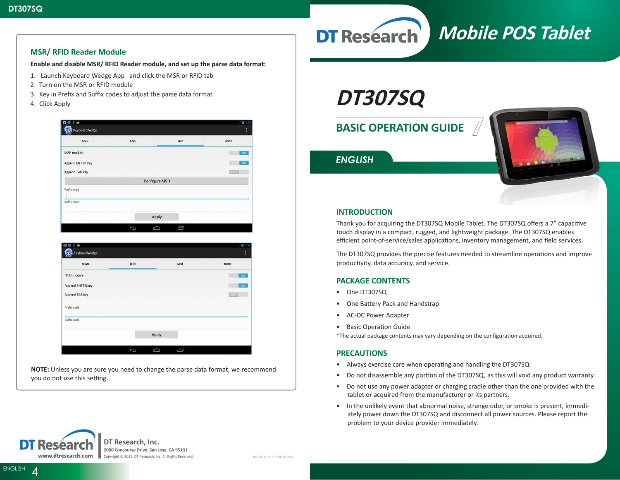### **MSR/ RFID Reader Module**

**Enable and disable MSR/ RFID Reader module, and set up the parse data format:**

- 1. Launch Keyboard Wedge App and click the MSR or RFID tab
- 2. Turn on the MSR or RFID module
- 3. Key in Prefix and Suffix codes to adjust the parse data format
- 4. Click Apply

| <b>SCAN</b>                            | <b>RFID</b>    | <b>MSR</b>           | MORE              |
|----------------------------------------|----------------|----------------------|-------------------|
| MSR module                             |                |                      | ON                |
| Append ENTER key                       |                |                      | ON                |
| Append TAB key                         |                |                      | $-5.33$           |
|                                        |                | <b>Configure MSR</b> |                   |
| Prefix code                            |                |                      |                   |
| Suffix code                            |                |                      |                   |
|                                        |                |                      |                   |
|                                        |                | Apply                |                   |
|                                        |                |                      |                   |
| B<br>÷                                 | $\overline{C}$ | Ü<br>D               |                   |
| KeyboardWedge                          |                |                      | H                 |
| <b>SCAN</b>                            | <b>RFID</b>    | <b>MSR</b>           | MORE              |
|                                        |                |                      | ON                |
| <b>RFID module</b><br>Append ENTER key |                |                      | ON                |
| Append TAB key                         |                |                      | 134<br><b>OFF</b> |
| Prefix code                            |                |                      |                   |
| Suffix code                            |                |                      |                   |

**NOTE:** Unless you are sure you need to change the parse data format, we recommend you do not use this setting.

# **DT307SQ**

**DT Research** 

## **BASIC OPERATION GUIDE**



**Mobile POS Tablet**

*ENGLISH*

### **INTRODUCTION**

Thank you for acquiring the DT307SQ Mobile Tablet. The DT307SQ offers a 7" capacitive touch display in a compact, rugged, and lightweight package. The DT307SQ enables efficient point-of-service/sales applications, inventory management, and field services.

The DT307SQ provides the precise features needed to streamline operations and improve productivity, data accuracy, and service.

### **PACKAGE CONTENTS**

- One DT307SQ
- One Battery Pack and Handstrap
- AC-DC Power Adapter
- Basic Operation Guide

\*The actual package contents may vary depending on the configuration acquired.

### **PRECAUTIONS**

- Always exercise care when operating and handling the DT307SQ.
- Do not disassemble any portion of the DT307SQ, as this will void any product warranty.
- Do not use any power adapter or charging cradle other than the one provided with the tablet or acquired from the manufacturer or its partners.
- In the unlikely event that abnormal noise, strange odor, or smoke is present, immediately power down the DT307SQ and disconnect all power sources. Please report the problem to your device provider immediately.



ENGLISH<sub>4</sub>